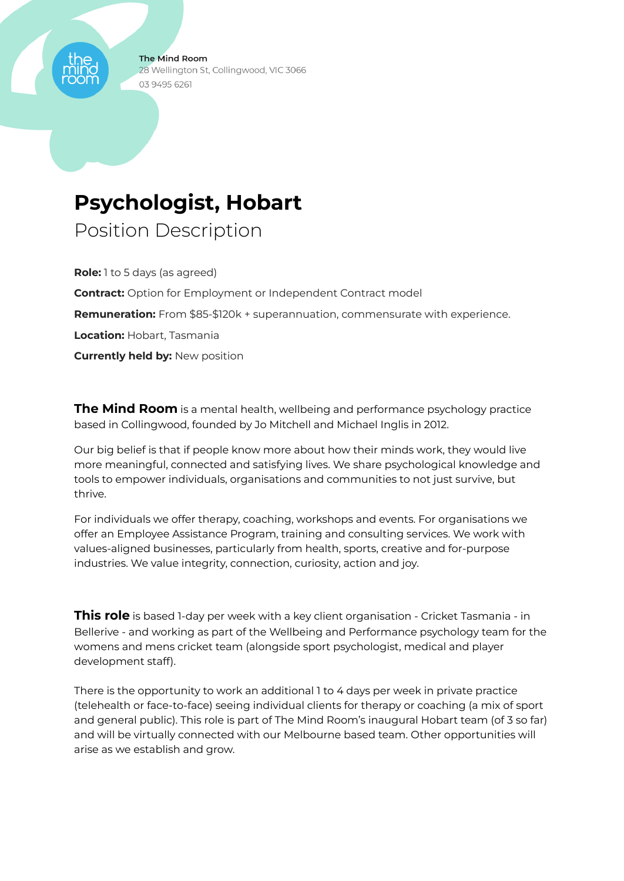**The Mind Room** 28 Wellington St, Collingwood, VIC 3066 03 9495 6261

# **Psychologist, Hobart**

Position Description

**Role:** 1 to 5 days (as agreed) **Contract:** Option for Employment or Independent Contract model **Remuneration:** From \$85-\$120k + superannuation, commensurate with experience. **Location:** Hobart, Tasmania **Currently held by:** New position

**The Mind Room** is a mental health, wellbeing and performance psychology practice based in Collingwood, founded by Jo Mitchell and Michael Inglis in 2012.

Our big belief is that if people know more about how their minds work, they would live more meaningful, connected and satisfying lives. We share psychological knowledge and tools to empower individuals, organisations and communities to not just survive, but thrive.

For individuals we offer therapy, coaching, workshops and events. For organisations we offer an Employee Assistance Program, training and consulting services. We work with values-aligned businesses, particularly from health, sports, creative and for-purpose industries. We value integrity, connection, curiosity, action and joy.

**This role** is based 1-day per week with a key client organisation - Cricket Tasmania - in Bellerive - and working as part of the Wellbeing and Performance psychology team for the womens and mens cricket team (alongside sport psychologist, medical and player development staff).

There is the opportunity to work an additional 1 to 4 days per week in private practice (telehealth or face-to-face) seeing individual clients for therapy or coaching (a mix of sport and general public). This role is part of The Mind Room's inaugural Hobart team (of 3 so far) and will be virtually connected with our Melbourne based team. Other opportunities will arise as we establish and grow.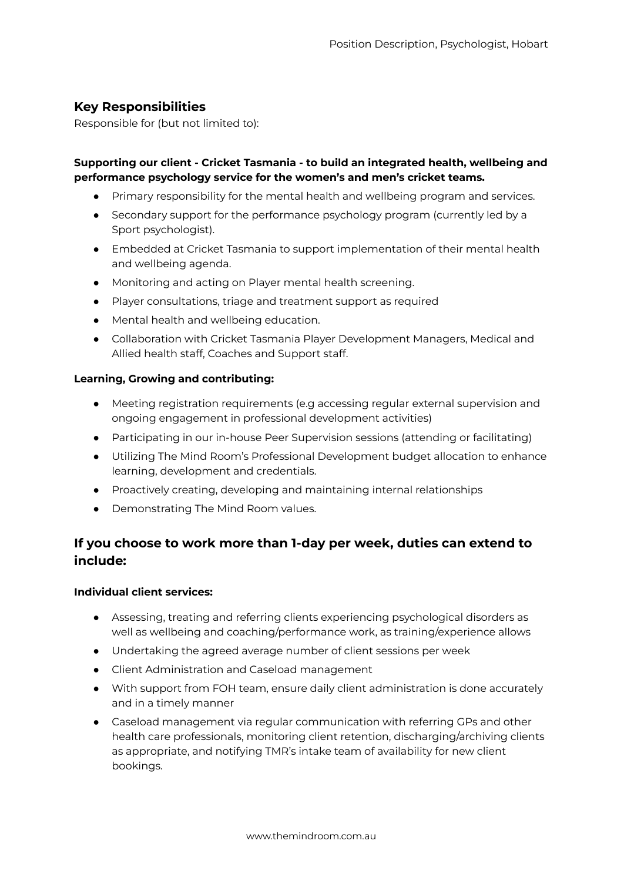## **Key Responsibilities**

Responsible for (but not limited to):

### **Supporting our client - Cricket Tasmania - to build an integrated health, wellbeing and performance psychology service for the women's and men's cricket teams.**

- Primary responsibility for the mental health and wellbeing program and services.
- Secondary support for the performance psychology program (currently led by a Sport psychologist).
- Embedded at Cricket Tasmania to support implementation of their mental health and wellbeing agenda.
- Monitoring and acting on Player mental health screening.
- Player consultations, triage and treatment support as required
- Mental health and wellbeing education.
- Collaboration with Cricket Tasmania Player Development Managers, Medical and Allied health staff, Coaches and Support staff.

#### **Learning, Growing and contributing:**

- Meeting registration requirements (e.g accessing regular external supervision and ongoing engagement in professional development activities)
- Participating in our in-house Peer Supervision sessions (attending or facilitating)
- Utilizing The Mind Room's Professional Development budget allocation to enhance learning, development and credentials.
- Proactively creating, developing and maintaining internal relationships
- Demonstrating The Mind Room values.

# **If you choose to work more than 1-day per week, duties can extend to include:**

#### **Individual client services:**

- Assessing, treating and referring clients experiencing psychological disorders as well as wellbeing and coaching/performance work, as training/experience allows
- Undertaking the agreed average number of client sessions per week
- Client Administration and Caseload management
- With support from FOH team, ensure daily client administration is done accurately and in a timely manner
- Caseload management via regular communication with referring GPs and other health care professionals, monitoring client retention, discharging/archiving clients as appropriate, and notifying TMR's intake team of availability for new client bookings.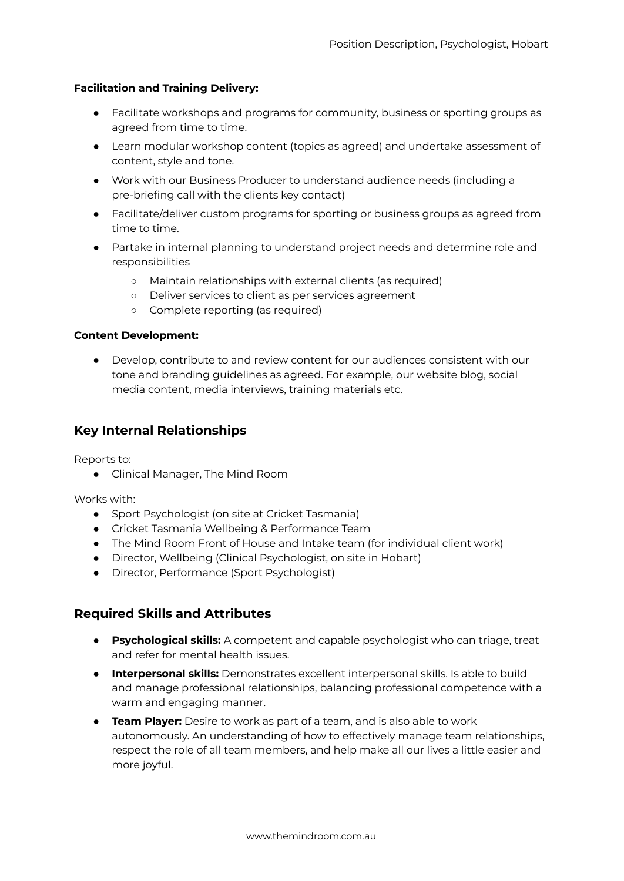#### **Facilitation and Training Delivery:**

- Facilitate workshops and programs for community, business or sporting groups as agreed from time to time.
- Learn modular workshop content (topics as agreed) and undertake assessment of content, style and tone.
- Work with our Business Producer to understand audience needs (including a pre-briefing call with the clients key contact)
- Facilitate/deliver custom programs for sporting or business groups as agreed from time to time.
- Partake in internal planning to understand project needs and determine role and responsibilities
	- Maintain relationships with external clients (as required)
	- Deliver services to client as per services agreement
	- Complete reporting (as required)

#### **Content Development:**

● Develop, contribute to and review content for our audiences consistent with our tone and branding guidelines as agreed. For example, our website blog, social media content, media interviews, training materials etc.

## **Key Internal Relationships**

Reports to:

● Clinical Manager, The Mind Room

Works with:

- Sport Psychologist (on site at Cricket Tasmania)
- Cricket Tasmania Wellbeing & Performance Team
- The Mind Room Front of House and Intake team (for individual client work)
- Director, Wellbeing (Clinical Psychologist, on site in Hobart)
- Director, Performance (Sport Psychologist)

## **Required Skills and Attributes**

- **Psychological skills:** A competent and capable psychologist who can triage, treat and refer for mental health issues.
- **Interpersonal skills:** Demonstrates excellent interpersonal skills. Is able to build and manage professional relationships, balancing professional competence with a warm and engaging manner.
- **Team Player:** Desire to work as part of a team, and is also able to work autonomously. An understanding of how to effectively manage team relationships, respect the role of all team members, and help make all our lives a little easier and more joyful.